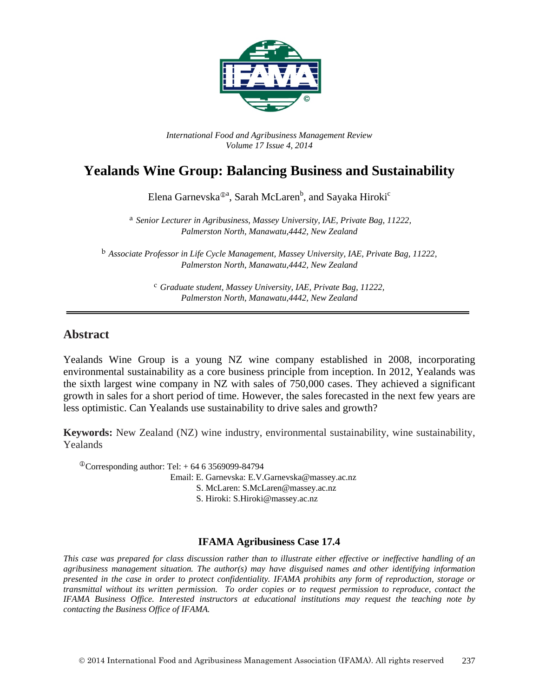

*International Food and Agribusiness Management Review Volume 17 Issue 4, 2014*

# **Yealands Wine Group: Balancing Business and Sustainability**

Elena Garnevska®ª, Sarah McLaren<sup>b</sup>, and Sayaka Hiroki<sup>c</sup>

<sup>a</sup> *Senior Lecturer in Agribusiness, Massey University, IAE, Private Bag, 11222, Palmerston North, Manawatu,4442, New Zealand*

<sup>b</sup> *Associate Professor in Life Cycle Management, Massey University, IAE, Private Bag, 11222, Palmerston North, Manawatu,4442, New Zealand*

> <sup>c</sup> *Graduate student, Massey University, IAE, Private Bag, 11222, Palmerston North, Manawatu,4442, New Zealand*

## **Abstract**

Yealands Wine Group is a young NZ wine company established in 2008, incorporating environmental sustainability as a core business principle from inception. In 2012, Yealands was the sixth largest wine company in NZ with sales of 750,000 cases. They achieved a significant growth in sales for a short period of time. However, the sales forecasted in the next few years are less optimistic. Can Yealands use sustainability to drive sales and growth?

**Keywords:** New Zealand (NZ) wine industry, environmental sustainability, wine sustainability, Yealands

 $^{\circ}$ Corresponding author: Tel: +64 6 3569099-84794 Email: E. Garnevska: E.V.Garnevska@massey.ac.nz S. McLaren: S.McLaren@massey.ac.nz S. Hiroki: S.Hiroki@massey.ac.nz

## **IFAMA Agribusiness Case 17.4**

*This case was prepared for class discussion rather than to illustrate either effective or ineffective handling of an agribusiness management situation. The author(s) may have disguised names and other identifying information presented in the case in order to protect confidentiality. IFAMA prohibits any form of reproduction, storage or transmittal without its written permission. To order copies or to request permission to reproduce, contact the IFAMA Business Office. Interested instructors at educational institutions may request the teaching note by contacting the Business Office of IFAMA.*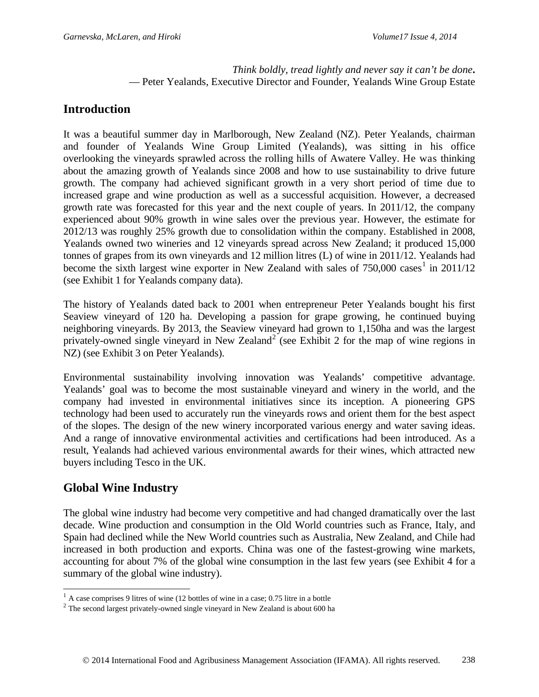#### *Think boldly, tread lightly and never say it can't be done***.** — Peter Yealands, Executive Director and Founder, Yealands Wine Group Estate

## **Introduction**

It was a beautiful summer day in Marlborough, New Zealand (NZ). Peter Yealands, chairman and founder of Yealands Wine Group Limited (Yealands), was sitting in his office overlooking the vineyards sprawled across the rolling hills of Awatere Valley. He was thinking about the amazing growth of Yealands since 2008 and how to use sustainability to drive future growth. The company had achieved significant growth in a very short period of time due to increased grape and wine production as well as a successful acquisition. However, a decreased growth rate was forecasted for this year and the next couple of years. In 2011/12, the company experienced about 90% growth in wine sales over the previous year. However, the estimate for 2012/13 was roughly 25% growth due to consolidation within the company. Established in 2008, Yealands owned two wineries and 12 vineyards spread across New Zealand; it produced 15,000 tonnes of grapes from its own vineyards and 12 million litres (L) of wine in 2011/12. Yealands had become the sixth largest wine exporter in New Zealand with sales of  $750,000$  cases<sup>[1](#page-1-0)</sup> in 2011/12 (see Exhibit 1 for Yealands company data).

The history of Yealands dated back to 2001 when entrepreneur Peter Yealands bought his first Seaview vineyard of 120 ha. Developing a passion for grape growing, he continued buying neighboring vineyards. By 2013, the Seaview vineyard had grown to 1,150ha and was the largest privately-owned single vineyard in New Zealand<sup>[2](#page-1-1)</sup> (see Exhibit 2 for the map of wine regions in NZ) (see Exhibit 3 on Peter Yealands).

Environmental sustainability involving innovation was Yealands' competitive advantage. Yealands' goal was to become the most sustainable vineyard and winery in the world, and the company had invested in environmental initiatives since its inception. A pioneering GPS technology had been used to accurately run the vineyards rows and orient them for the best aspect of the slopes. The design of the new winery incorporated various energy and water saving ideas. And a range of innovative environmental activities and certifications had been introduced. As a result, Yealands had achieved various environmental awards for their wines, which attracted new buyers including Tesco in the UK.

## **Global Wine Industry**

The global wine industry had become very competitive and had changed dramatically over the last decade. Wine production and consumption in the Old World countries such as France, Italy, and Spain had declined while the New World countries such as Australia, New Zealand, and Chile had increased in both production and exports. China was one of the fastest-growing wine markets, accounting for about 7% of the global wine consumption in the last few years (see Exhibit 4 for a summary of the global wine industry).

 $<sup>1</sup>$  A case comprises 9 litres of wine (12 bottles of wine in a case; 0.75 litre in a bottle</sup>

<span id="page-1-1"></span><span id="page-1-0"></span><sup>&</sup>lt;sup>2</sup> The second largest privately-owned single vineyard in New Zealand is about 600 ha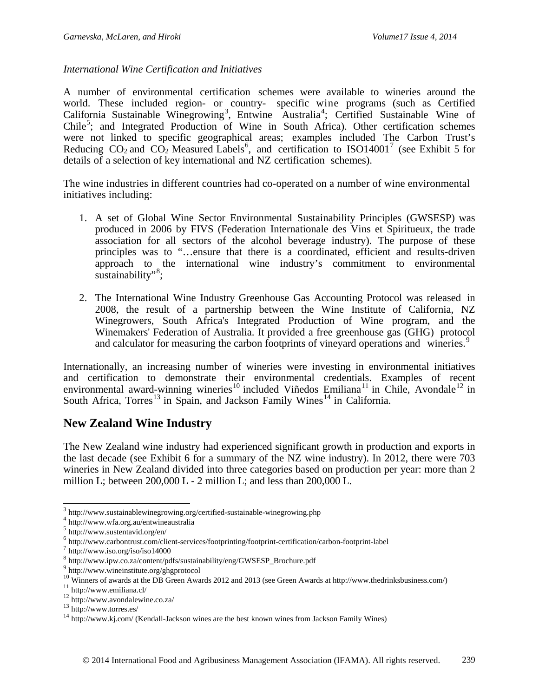### *International Wine Certification and Initiatives*

A number of environmental certification schemes were available to wineries around the world. These included region- or country- specific wine programs (such as Certified California Sustainable Winegrowing<sup>[3](#page-2-0)</sup>, Entwine Australia<sup>[4](#page-2-1)</sup>; Certified Sustainable Wine of Chile<sup>[5](#page-2-2)</sup>; and Integrated Production of Wine in South Africa). Other certification schemes were not linked to specific geographical areas; examples included The Carbon Trust's Reducing  $CO_2$  and  $CO_2$  Measured Labels<sup>[6](#page-2-3)</sup>, and certification to ISO14001<sup>[7](#page-2-4)</sup> (see Exhibit 5 for details of a selection of key international and NZ certification schemes).

The wine industries in different countries had co-operated on a number of wine environmental initiatives including:

- 1. A set of Global Wine Sector Environmental Sustainability Principles (GWSESP) was produced in 2006 by FIVS (Federation Internationale des Vins et Spiritueux, the trade association for all sectors of the alcohol beverage industry). The purpose of these principles was to "…ensure that there is a coordinated, efficient and results-driven approach to the international wine industry's commitment to environmental sustainability"<sup>[8](#page-2-5)</sup>;
- 2. The International Wine Industry Greenhouse Gas Accounting Protocol was released in 2008, the result of a partnership between the Wine Institute of California, NZ Winegrowers, South Africa's Integrated Production of Wine program, and the Winemakers' Federation of Australia. It provided a free greenhouse gas (GHG) protocol and calculator for measuring the carbon footprints of vineyard operations and wineries.<sup>[9](#page-2-6)</sup>

Internationally, an increasing number of wineries were investing in environmental initiatives and certification to demonstrate their environmental credentials. Examples of recent environmental award-winning wineries<sup>[10](#page-2-7)</sup> included Viñedos Emiliana<sup>[11](#page-2-8)</sup> in Chile, Avondale<sup>[12](#page-2-9)</sup> in South Africa, Torres<sup>[13](#page-2-10)</sup> in Spain, and Jackson Family Wines<sup>[14](#page-2-11)</sup> in California.

## **New Zealand Wine Industry**

The New Zealand wine industry had experienced significant growth in production and exports in the last decade (see Exhibit 6 for a summary of the NZ wine industry). In 2012, there were 703 wineries in New Zealand divided into three categories based on production per year: more than 2 million L; between  $200,000$  L - 2 million L; and less than  $200,000$  L.

<span id="page-2-0"></span><sup>&</sup>lt;sup>3</sup> http://www.sustainablewinegrowing.org/certified-sustainable-winegrowing.php  $4$  http://www.wfa.org.au/entwineaustralia 5 http://www.sustentavid.org/en/  $\overline{a}$ 

<span id="page-2-1"></span>

<span id="page-2-3"></span><span id="page-2-2"></span> $\frac{6}{7}$  http://www.carbontrust.com/client-services/footprinting/footprint-certification/carbon-footprint-label  $\frac{7}{7}$  http://www.iso.org/iso/iso14000

<span id="page-2-4"></span>

<span id="page-2-5"></span> $^8$ http://www.ipw.co.za/content/pdfs/sustainability/eng/GWSESP\_Brochure.pdf  $^9$  http://www.wineinstitute.org/ghgprotocol

<span id="page-2-6"></span>

<span id="page-2-7"></span><sup>&</sup>lt;sup>10</sup> Winners of awards at the DB Green Awards 2012 and 2013 (see Green Awards at http://www.thedrinksbusiness.com/)<br><sup>11</sup> http://www.emiliana.cl/<br><sup>12</sup> http://www.avondalewine.co.za/<br><sup>13</sup> http://www.torres.es/<br><sup>14</sup> http://w

<span id="page-2-8"></span>

<span id="page-2-9"></span>

<span id="page-2-11"></span><span id="page-2-10"></span>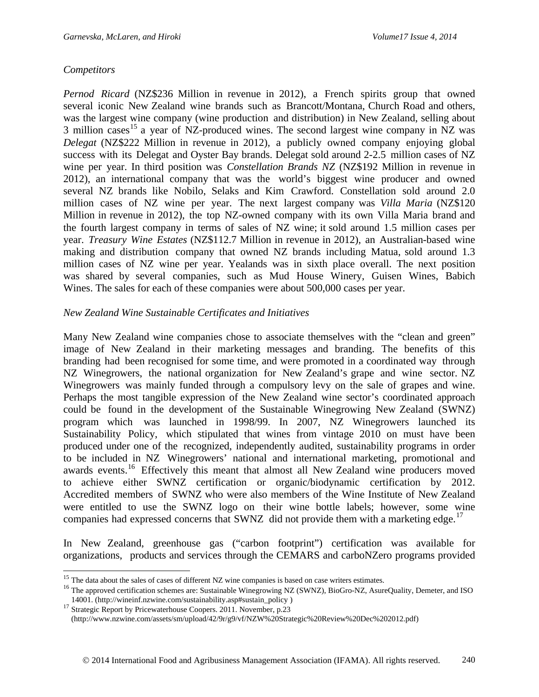### *Competitors*

*Pernod Ricard* (NZ\$236 Million in revenue in 2012), a French spirits group that owned several iconic New Zealand wine brands such as Brancott/Montana, Church Road and others, was the largest wine company (wine production and distribution) in New Zealand, selling about 3 million cases<sup>[15](#page-3-0)</sup> a year of NZ-produced wines. The second largest wine company in NZ was *Delegat* (NZ\$222 Million in revenue in 2012), a publicly owned company enjoying global success with its [Delegat](http://www.delegatwines.com/) and [Oyster](http://www.oysterbaywines.com/) Bay brands. Delegat sold around 2-2.5 million cases of NZ wine per year. In third position was *Constellation Brands NZ* (NZ\$192 Million in revenue in 2012), an international company that was the world's biggest wine producer and owned several NZ brands like Nobilo, Selaks and Kim Crawford. Constellation sold around 2.0 million cases of NZ wine per year. The next largest company was *Villa Maria* (NZ\$120 Million in revenue in 2012), the top NZ-owned company with its own Villa Maria brand and the fourth largest company in terms of sales of NZ wine; it sold around 1.5 million cases per year. *Treasury Wine Estates* (NZ\$112.7 Million in revenue in 2012), an Australian-based wine making and distribution company that owned NZ brands including Matua, sold around 1.3 million cases of NZ wine per year. Yealands was in sixth place overall. The next position was shared by several companies, such as Mud House Winery, Guisen Wines, Babich Wines. The sales for each of these companies were about 500,000 cases per year.

#### *New Zealand Wine Sustainable Certificates and Initiatives*

Many New Zealand wine companies chose to associate themselves with the "clean and green" image of New Zealand in their marketing messages and branding. The benefits of this branding had been recognised for some time, and were promoted in a coordinated way through NZ Winegrowers, the national organization for New Zealand's grape and wine sector. NZ Winegrowers was mainly funded through a compulsory levy on the sale of grapes and wine. Perhaps the most tangible expression of the New Zealand wine sector's coordinated approach could be found in the development of the Sustainable Winegrowing New Zealand (SWNZ) program which was launched in 1998/99. In 2007, NZ Winegrowers launched its Sustainability Policy, which stipulated that wines from vintage 2010 on must have been produced under one of the recognized, independently audited, sustainability programs in order to be included in NZ Winegrowers' national and international marketing, promotional and awards events.<sup>[16](#page-3-1)</sup> Effectively this meant that almost all New Zealand wine producers moved to achieve either SWNZ certification or organic/biodynamic certification by 2012. Accredited members of SWNZ who were also members of the Wine Institute of New Zealand were entitled to use the SWNZ logo on their wine bottle labels; however, some wine companies had expressed concerns that SWNZ did not provide them with a marketing edge.<sup>[17](#page-3-2)</sup>

In New Zealand, greenhouse gas ("carbon footprint") certification was available for organizations, products and services through the CEMARS and carboNZero programs provided

<span id="page-3-0"></span> $15$  The data about the sales of cases of different NZ wine companies is based on case writers estimates.

<span id="page-3-1"></span><sup>&</sup>lt;sup>16</sup> The approved certification schemes are: Sustainable Winegrowing NZ (SWNZ), BioGro-NZ, AsureQuality, Demeter, and ISO 14001. (http://wineinf.nzwine.com/sustainability.asp#sustain\_policy)

<span id="page-3-2"></span><sup>&</sup>lt;sup>17</sup> Strategic Report by Pricewaterhouse Coopers. 2011. November, p.23 [\(http://www.nzwine.com/assets/sm/upload/42/9r/g9/vf/NZW%20Strategic%20Review%20Dec%202012.pdf\)](http://www.nzwine.com/assets/sm/upload/42/9r/g9/vf/NZW%20Strategic%20Review%20Dec%202012.pdf)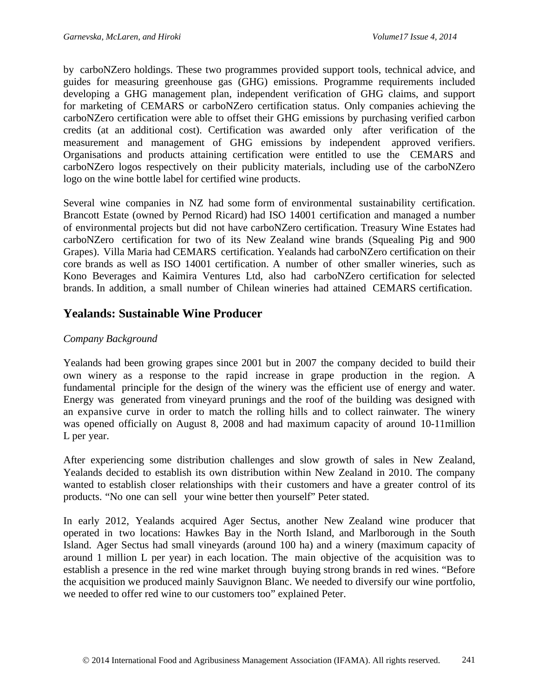by carboNZero holdings. These two programmes provided support tools, technical advice, and guides for measuring greenhouse gas (GHG) emissions. Programme requirements included developing a GHG management plan, independent verification of GHG claims, and support for marketing of CEMARS or carboNZero certification status. Only companies achieving the carboNZero certification were able to offset their GHG emissions by purchasing verified carbon credits (at an additional cost). Certification was awarded only after verification of the measurement and management of GHG emissions by independent approved verifiers. Organisations and products attaining certification were entitled to use the CEMARS and carboNZero logos respectively on their publicity materials, including use of the carboNZero logo on the wine bottle label for certified wine products.

Several wine companies in NZ had some form of environmental sustainability certification. Brancott Estate (owned by Pernod Ricard) had ISO 14001 certification and managed a number of environmental projects but did not have carboNZero certification. Treasury Wine Estates had carboNZero certification for two of its New Zealand wine brands (Squealing Pig and 900 Grapes). Villa Maria had CEMARS certification. Yealands had carboNZero certification on their core brands as well as ISO 14001 certification. A number of other smaller wineries, such as Kono Beverages and Kaimira Ventures Ltd, also had carboNZero certification for selected brands. In addition, a small number of Chilean wineries had attained CEMARS certification.

## **Yealands: Sustainable Wine Producer**

## *Company Background*

Yealands had been growing grapes since 2001 but in 2007 the company decided to build their own winery as a response to the rapid increase in grape production in the region. A fundamental principle for the design of the winery was the efficient use of energy and water. Energy was generated from vineyard prunings and the roof of the building was designed with an expansive curve in order to match the rolling hills and to collect rainwater. The winery was opened officially on August 8, 2008 and had maximum capacity of around 10-11million L per year.

After experiencing some distribution challenges and slow growth of sales in New Zealand, Yealands decided to establish its own distribution within New Zealand in 2010. The company wanted to establish closer relationships with their customers and have a greater control of its products. "No one can sell your wine better then yourself" Peter stated.

In early 2012, Yealands acquired Ager Sectus, another New Zealand wine producer that operated in two locations: Hawkes Bay in the North Island, and Marlborough in the South Island. Ager Sectus had small vineyards (around 100 ha) and a winery (maximum capacity of around 1 million L per year) in each location. The main objective of the acquisition was to establish a presence in the red wine market through buying strong brands in red wines. "Before the acquisition we produced mainly Sauvignon Blanc. We needed to diversify our wine portfolio, we needed to offer red wine to our customers too" explained Peter.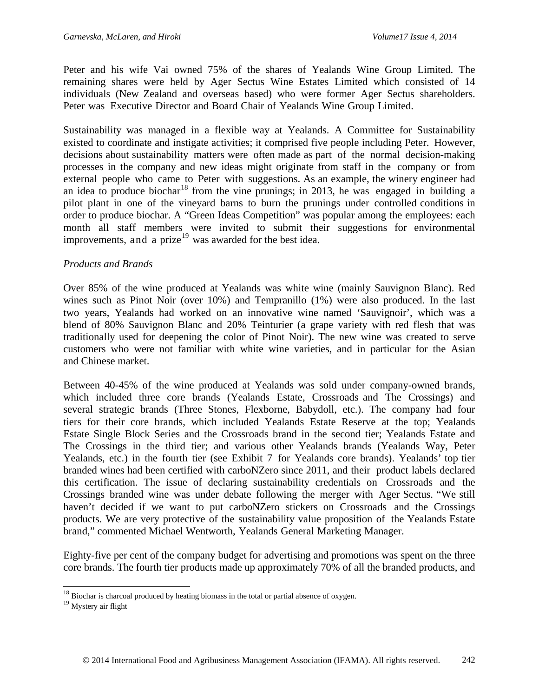Peter and his wife Vai owned 75% of the shares of Yealands Wine Group Limited. The remaining shares were held by Ager Sectus Wine Estates Limited which consisted of 14 individuals (New Zealand and overseas based) who were former Ager Sectus shareholders. Peter was Executive Director and Board Chair of Yealands Wine Group Limited.

Sustainability was managed in a flexible way at Yealands. A Committee for Sustainability existed to coordinate and instigate activities; it comprised five people including Peter. However, decisions about sustainability matters were often made as part of the normal decision-making processes in the company and new ideas might originate from staff in the company or from external people who came to Peter with suggestions. As an example, the winery engineer had an idea to produce biochar<sup>[18](#page-5-0)</sup> from the vine prunings; in 2013, he was engaged in building a pilot plant in one of the vineyard barns to burn the prunings under controlled conditions in order to produce biochar. A "Green Ideas Competition" was popular among the employees: each month all staff members were invited to submit their suggestions for environmental improvements, and a prize<sup>[19](#page-5-1)</sup> was awarded for the best idea.

### *Products and Brands*

Over 85% of the wine produced at Yealands was white wine (mainly Sauvignon Blanc). Red wines such as Pinot Noir (over 10%) and Tempranillo (1%) were also produced. In the last two years, Yealands had worked on an innovative wine named 'Sauvignoir', which was a blend of 80% Sauvignon Blanc and 20% Teinturier (a grape variety with red flesh that was traditionally used for deepening the color of Pinot Noir). The new wine was created to serve customers who were not familiar with white wine varieties, and in particular for the Asian and Chinese market.

Between 40-45% of the wine produced at Yealands was sold under company-owned brands, which included three core brands (Yealands Estate, Crossroads and The Crossings) and several strategic brands (Three Stones, Flexborne, Babydoll, etc.). The company had four tiers for their core brands, which included Yealands Estate Reserve at the top; Yealands Estate Single Block Series and the Crossroads brand in the second tier; Yealands Estate and The Crossings in the third tier; and various other Yealands brands (Yealands Way, Peter Yealands, etc.) in the fourth tier (see Exhibit 7 for Yealands core brands). Yealands' top tier branded wines had been certified with carboNZero since 2011, and their product labels declared this certification. The issue of declaring sustainability credentials on Crossroads and the Crossings branded wine was under debate following the merger with Ager Sectus. "We still haven't decided if we want to put carboNZero stickers on Crossroads and the Crossings products. We are very protective of the sustainability value proposition of the Yealands Estate brand," commented Michael Wentworth, Yealands General Marketing Manager.

Eighty-five per cent of the company budget for advertising and promotions was spent on the three core brands. The fourth tier products made up approximately 70% of all the branded products, and

 $\overline{a}$ 

 $18$  Biochar is charcoal produced by heating biomass in the total or partial absence of oxygen.

<span id="page-5-1"></span><span id="page-5-0"></span><sup>19</sup> Mystery air flight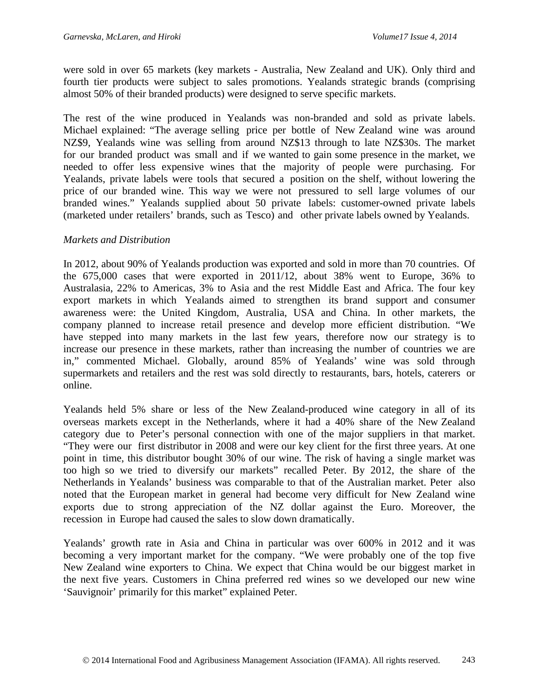were sold in over 65 markets (key markets - Australia, New Zealand and UK). Only third and fourth tier products were subject to sales promotions. Yealands strategic brands (comprising almost 50% of their branded products) were designed to serve specific markets.

The rest of the wine produced in Yealands was non-branded and sold as private labels. Michael explained: "The average selling price per bottle of New Zealand wine was around NZ\$9, Yealands wine was selling from around NZ\$13 through to late NZ\$30s. The market for our branded product was small and if we wanted to gain some presence in the market, we needed to offer less expensive wines that the majority of people were purchasing. For Yealands, private labels were tools that secured a position on the shelf, without lowering the price of our branded wine. This way we were not pressured to sell large volumes of our branded wines." Yealands supplied about 50 private labels: customer-owned private labels (marketed under retailers' brands, such as Tesco) and other private labels owned by Yealands.

#### *Markets and Distribution*

In 2012, about 90% of Yealands production was exported and sold in more than 70 countries. Of the 675,000 cases that were exported in 2011/12, about 38% went to Europe, 36% to Australasia, 22% to Americas, 3% to Asia and the rest Middle East and Africa. The four key export markets in which Yealands aimed to strengthen its brand support and consumer awareness were: the United Kingdom, Australia, USA and China. In other markets, the company planned to increase retail presence and develop more efficient distribution. "We have stepped into many markets in the last few years, therefore now our strategy is to increase our presence in these markets, rather than increasing the number of countries we are in," commented Michael. Globally, around 85% of Yealands' wine was sold through supermarkets and retailers and the rest was sold directly to restaurants, bars, hotels, caterers or online.

Yealands held 5% share or less of the New Zealand-produced wine category in all of its overseas markets except in the Netherlands, where it had a 40% share of the New Zealand category due to Peter's personal connection with one of the major suppliers in that market. "They were our first distributor in 2008 and were our key client for the first three years. At one point in time, this distributor bought 30% of our wine. The risk of having a single market was too high so we tried to diversify our markets" recalled Peter. By 2012, the share of the Netherlands in Yealands' business was comparable to that of the Australian market. Peter also noted that the European market in general had become very difficult for New Zealand wine exports due to strong appreciation of the NZ dollar against the Euro. Moreover, the recession in Europe had caused the sales to slow down dramatically.

Yealands' growth rate in Asia and China in particular was over 600% in 2012 and it was becoming a very important market for the company. "We were probably one of the top five New Zealand wine exporters to China. We expect that China would be our biggest market in the next five years. Customers in China preferred red wines so we developed our new wine 'Sauvignoir' primarily for this market" explained Peter.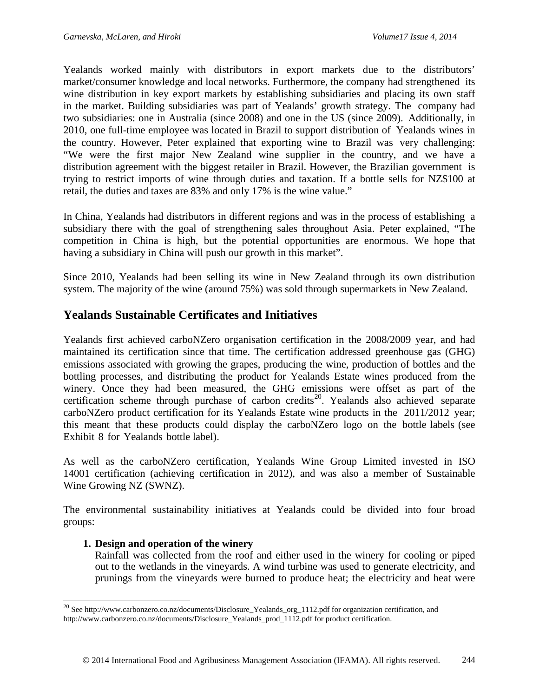Yealands worked mainly with distributors in export markets due to the distributors' market/consumer knowledge and local networks. Furthermore, the company had strengthened its wine distribution in key export markets by establishing subsidiaries and placing its own staff in the market. Building subsidiaries was part of Yealands' growth strategy. The company had two subsidiaries: one in Australia (since 2008) and one in the US (since 2009). Additionally, in 2010, one full-time employee was located in Brazil to support distribution of Yealands wines in the country. However, Peter explained that exporting wine to Brazil was very challenging: "We were the first major New Zealand wine supplier in the country, and we have a distribution agreement with the biggest retailer in Brazil. However, the Brazilian government is trying to restrict imports of wine through duties and taxation. If a bottle sells for NZ\$100 at retail, the duties and taxes are 83% and only 17% is the wine value."

In China, Yealands had distributors in different regions and was in the process of establishing a subsidiary there with the goal of strengthening sales throughout Asia. Peter explained, "The competition in China is high, but the potential opportunities are enormous. We hope that having a subsidiary in China will push our growth in this market".

Since 2010, Yealands had been selling its wine in New Zealand through its own distribution system. The majority of the wine (around 75%) was sold through supermarkets in New Zealand.

## **Yealands Sustainable Certificates and Initiatives**

Yealands first achieved carboNZero organisation certification in the 2008/2009 year, and had maintained its certification since that time. The certification addressed greenhouse gas (GHG) emissions associated with growing the grapes, producing the wine, production of bottles and the bottling processes, and distributing the product for Yealands Estate wines produced from the winery. Once they had been measured, the GHG emissions were offset as part of the certification scheme through purchase of carbon credits<sup>[20](#page-7-0)</sup>. Yealands also achieved separate carboNZero product certification for its Yealands Estate wine products in the 2011/2012 year; this meant that these products could display the carboNZero logo on the bottle labels (see Exhibit 8 for Yealands bottle label).

As well as the carboNZero certification, Yealands Wine Group Limited invested in ISO 14001 certification (achieving certification in 2012), and was also a member of Sustainable Wine Growing NZ (SWNZ).

The environmental sustainability initiatives at Yealands could be divided into four broad groups:

## **1. Design and operation of the winery**

 $\overline{a}$ 

Rainfall was collected from the roof and either used in the winery for cooling or piped out to the wetlands in the vineyards. A wind turbine was used to generate electricity, and prunings from the vineyards were burned to produce heat; the electricity and heat were

<span id="page-7-0"></span><sup>&</sup>lt;sup>20</sup> See [http://www.carbonzero.co.nz/documents/Disclosure\\_Yealands\\_org\\_1112.pdf](http://www.carbonzero.co.nz/documents/Disclosure_Yealands_org_1112.pdf) for organization certification, and [http://www.carbonzero.co.nz/documents/Disclosure\\_Yealands\\_prod\\_1112.pdf](http://www.carbonzero.co.nz/documents/Disclosure_Yealands_prod_1112.pdf) for product certification.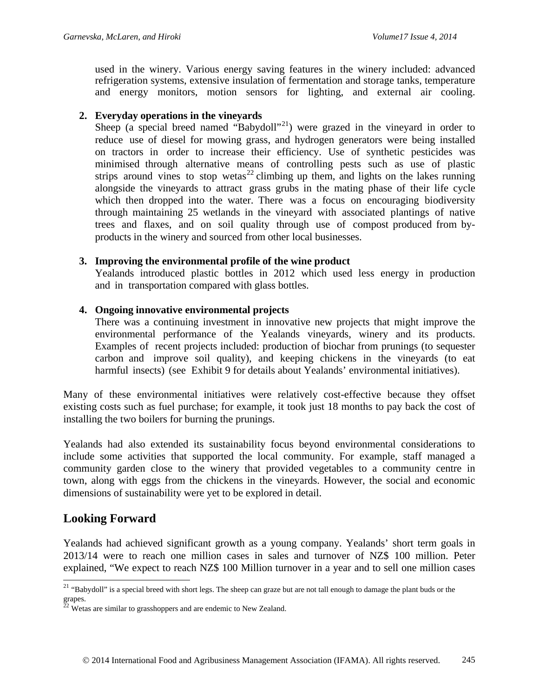used in the winery. Various energy saving features in the winery included: advanced refrigeration systems, extensive insulation of fermentation and storage tanks, temperature and energy monitors, motion sensors for lighting, and external air cooling.

#### **2. Everyday operations in the vineyards**

Sheep (a special breed named "Babydoll"<sup>[21](#page-8-0)</sup>) were grazed in the vineyard in order to reduce use of diesel for mowing grass, and hydrogen generators were being installed on tractors in order to increase their efficiency. Use of synthetic pesticides was minimised through alternative means of controlling pests such as use of plastic strips around vines to stop wetas<sup>[22](#page-8-1)</sup> climbing up them, and lights on the lakes running alongside the vineyards to attract grass grubs in the mating phase of their life cycle which then dropped into the water. There was a focus on encouraging biodiversity through maintaining 25 wetlands in the vineyard with associated plantings of native trees and flaxes, and on soil quality through use of compost produced from byproducts in the winery and sourced from other local businesses.

#### **3. Improving the environmental profile of the wine product**

Yealands introduced plastic bottles in 2012 which used less energy in production and in transportation compared with glass bottles.

#### **4. Ongoing innovative environmental projects**

There was a continuing investment in innovative new projects that might improve the environmental performance of the Yealands vineyards, winery and its products. Examples of recent projects included: production of biochar from prunings (to sequester carbon and improve soil quality), and keeping chickens in the vineyards (to eat harmful insects) (see Exhibit 9 for details about Yealands' environmental initiatives).

Many of these environmental initiatives were relatively cost-effective because they offset existing costs such as fuel purchase; for example, it took just 18 months to pay back the cost of installing the two boilers for burning the prunings.

Yealands had also extended its sustainability focus beyond environmental considerations to include some activities that supported the local community. For example, staff managed a community garden close to the winery that provided vegetables to a community centre in town, along with eggs from the chickens in the vineyards. However, the social and economic dimensions of sustainability were yet to be explored in detail.

## **Looking Forward**

 $\overline{a}$ 

Yealands had achieved significant growth as a young company. Yealands' short term goals in 2013/14 were to reach one million cases in sales and turnover of NZ\$ 100 million. Peter explained, "We expect to reach NZ\$ 100 Million turnover in a year and to sell one million cases

<span id="page-8-0"></span><sup>&</sup>lt;sup>21</sup> "Babydoll" is a special breed with short legs. The sheep can graze but are not tall enough to damage the plant buds or the grapes.

<span id="page-8-1"></span> $22$  Wetas are similar to grasshoppers and are endemic to New Zealand.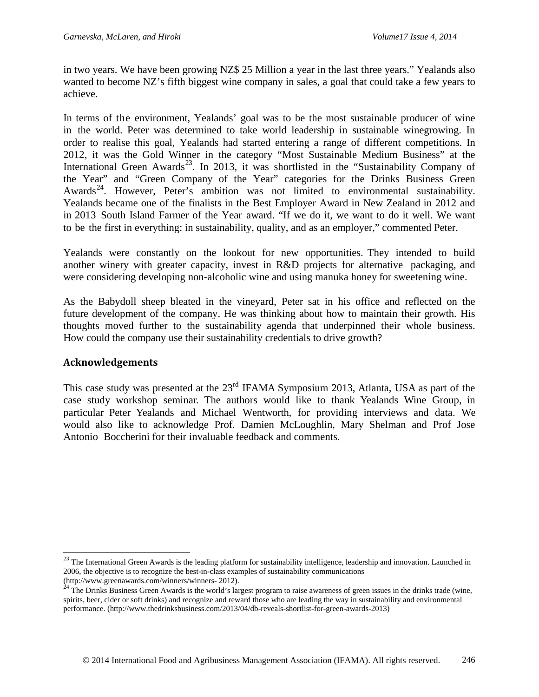in two years. We have been growing NZ\$ 25 Million a year in the last three years." Yealands also wanted to become NZ's fifth biggest wine company in sales, a goal that could take a few years to achieve.

In terms of the environment, Yealands' goal was to be the most sustainable producer of wine in the world. Peter was determined to take world leadership in sustainable winegrowing. In order to realise this goal, Yealands had started entering a range of different competitions. In 2012, it was the Gold Winner in the category "Most Sustainable Medium Business" at the International Green Awards<sup>23</sup>. In 2013, it was shortlisted in the "Sustainability Company of the Year" and "Green Company of the Year" categories for the Drinks Business Green Awards<sup>24</sup>. However, Peter's ambition was not limited to environmental sustainability. Yealands became one of the finalists in the Best Employer Award in New Zealand in 2012 and in 2013 South Island Farmer of the Year award. "If we do it, we want to do it well. We want to be the first in everything: in sustainability, quality, and as an employer," commented Peter.

Yealands were constantly on the lookout for new opportunities. They intended to build another winery with greater capacity, invest in R&D projects for alternative packaging, and were considering developing non-alcoholic wine and using manuka honey for sweetening wine.

As the Babydoll sheep bleated in the vineyard, Peter sat in his office and reflected on the future development of the company. He was thinking about how to maintain their growth. His thoughts moved further to the sustainability agenda that underpinned their whole business. How could the company use their sustainability credentials to drive growth?

## **Acknowledgements**

 $\overline{a}$ 

This case study was presented at the 23<sup>rd</sup> IFAMA Symposium 2013, Atlanta, USA as part of the case study workshop seminar. The authors would like to thank Yealands Wine Group, in particular Peter Yealands and Michael Wentworth, for providing interviews and data. We would also like to acknowledge Prof. Damien McLoughlin, Mary Shelman and Prof Jose Antonio Boccherini for their invaluable feedback and comments.

<span id="page-9-0"></span> $^{23}$  The International Green Awards is the leading platform for sustainability intelligence, leadership and innovation. Launched in 2006, the objective is to recognize the best-in-class examples of sustainability communications

<span id="page-9-1"></span>[<sup>\(</sup>http://www.greenawards.com/winners/winners-](http://www.greenawards.com/winners/winners-2012) [2012\).](http://www.greenawards.com/winners/winners-2012)<br><sup>24</sup> The Drinks Business Green Awards is the world's largest program to raise awareness of green issues in the drinks trade (wine, spirits, beer, cider or soft drinks) and recognize and reward those who are leading the way in sustainability and environmental performance. [\(http://www.thedrinksbusiness.com/2013/04/db-reveals-shortlist-for-green-awards-2013\)](http://www.thedrinksbusiness.com/2013/04/db-reveals-shortlist-for-green-awards-2013))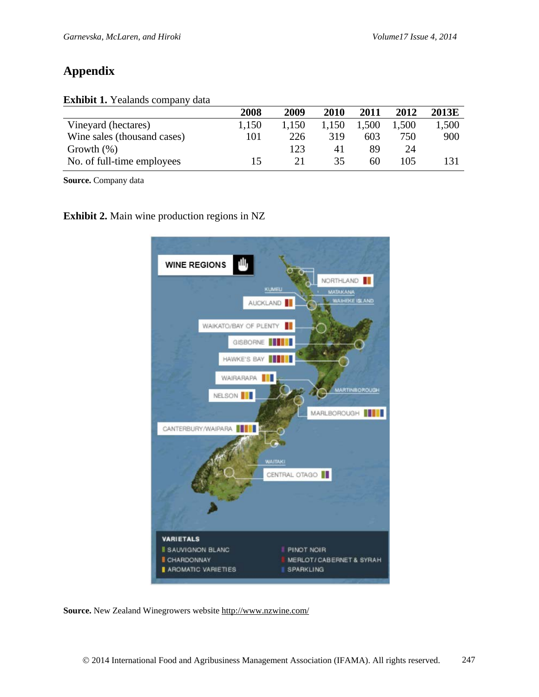# **Appendix**

|  | Exhibit 1. Yealands company data |
|--|----------------------------------|
|--|----------------------------------|

|                             | 2008  | 2009  | 2010 | 2011  | 2012  | 2013E |
|-----------------------------|-------|-------|------|-------|-------|-------|
| Vineyard (hectares)         | 1,150 | 1.150 | .150 | 1,500 | 1,500 | 1,500 |
| Wine sales (thousand cases) | 101   | 226   | 319  | 603   | 750   | 900   |
| Growth $(\%)$               |       | 123   | 41   | 89    | 24    |       |
| No. of full-time employees  | 15    | 21    | 35   | 60    | 105   | 131   |

**Source.** Company data

**Exhibit 2.** Main wine production regions in NZ



**Source.** New Zealand Winegrowers website<http://www.nzwine.com/>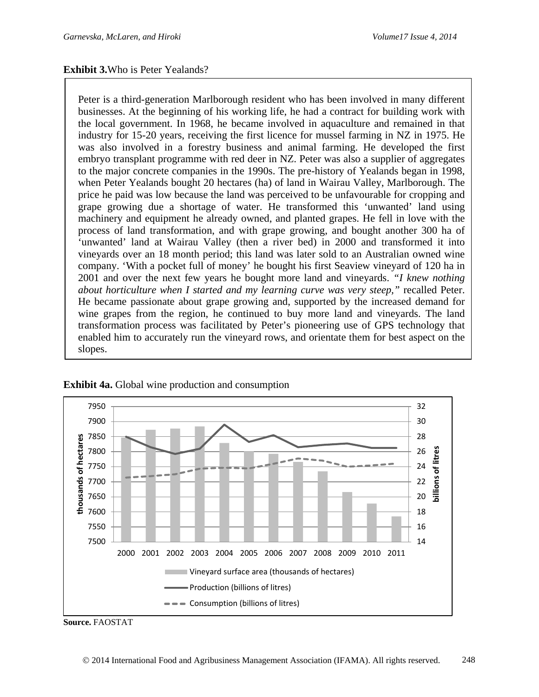### **Exhibit 3.**Who is Peter Yealands?

Peter is a third-generation Marlborough resident who has been involved in many different businesses. At the beginning of his working life, he had a contract for building work with the local government. In 1968, he became involved in aquaculture and remained in that industry for 15-20 years, receiving the first licence for mussel farming in NZ in 1975. He was also involved in a forestry business and animal farming. He developed the first embryo transplant programme with red deer in NZ. Peter was also a supplier of aggregates to the major concrete companies in the 1990s. The pre-history of Yealands began in 1998, when Peter Yealands bought 20 hectares (ha) of land in Wairau Valley, Marlborough. The price he paid was low because the land was perceived to be unfavourable for cropping and grape growing due a shortage of water. He transformed this 'unwanted' land using machinery and equipment he already owned, and planted grapes. He fell in love with the process of land transformation, and with grape growing, and bought another 300 ha of 'unwanted' land at Wairau Valley (then a river bed) in 2000 and transformed it into vineyards over an 18 month period; this land was later sold to an Australian owned wine company. 'With a pocket full of money' he bought his first Seaview vineyard of 120 ha in 2001 and over the next few years he bought more land and vineyards. *"I knew nothing about horticulture when I started and my learning curve was very steep,"* recalled Peter. He became passionate about grape growing and, supported by the increased demand for wine grapes from the region, he continued to buy more land and vineyards. The land transformation process was facilitated by Peter's pioneering use of GPS technology that enabled him to accurately run the vineyard rows, and orientate them for best aspect on the slopes.



#### **Exhibit 4a.** Global wine production and consumption

**Source.** FAOSTAT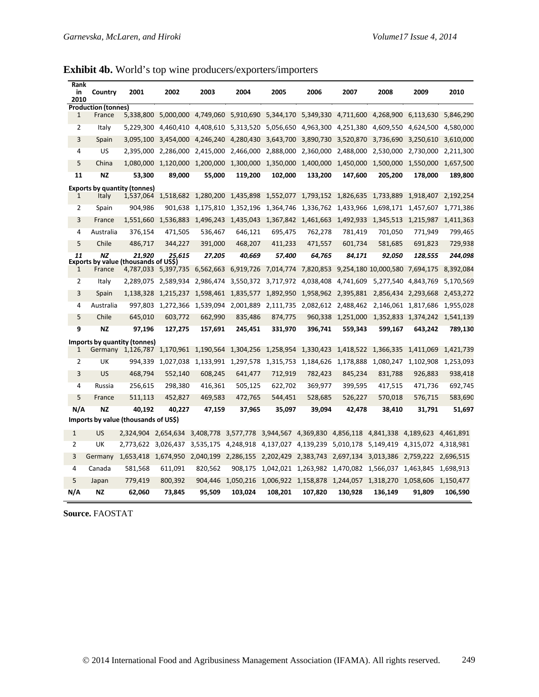| <b>Exhibit 4b.</b> World's top wine producers/exporters/importers |  |  |  |
|-------------------------------------------------------------------|--|--|--|
|                                                                   |  |  |  |

| Rank<br>in<br>2010 | Country                    | 2001                                                 | 2002                | 2003      | 2004                | 2005      | 2006      | 2007                | 2008                 | 2009      | 2010      |
|--------------------|----------------------------|------------------------------------------------------|---------------------|-----------|---------------------|-----------|-----------|---------------------|----------------------|-----------|-----------|
|                    | <b>Production (tonnes)</b> |                                                      |                     |           |                     |           |           |                     |                      |           |           |
| $\mathbf{1}$       | France                     | 5,338,800                                            | 5,000,000           | 4,749,060 | 5,910,690           | 5,344,170 | 5,349,330 | 4,711,600           | 4,268,900            | 6,113,630 | 5,846,290 |
| $\overline{2}$     | Italy                      | 5,229,300                                            | 4,460,410           | 4,408,610 | 5,313,520           | 5,056,650 | 4,963,300 | 4,251,380           | 4,609,550            | 4,624,500 | 4,580,000 |
| 3                  | Spain                      | 3,095,100                                            | 3,454,000           | 4,246,240 | 4,280,430           | 3,643,700 | 3,890,730 | 3,520,870           | 3,736,690            | 3,250,610 | 3,610,000 |
| 4                  | <b>US</b>                  | 2,395,000                                            | 2,286,000           | 2,415,000 | 2,466,000           | 2,888,000 | 2,360,000 | 2,488,000           | 2,530,000            | 2,730,000 | 2,211,300 |
| 5                  | China                      | 1,080,000                                            | 1,120,000           | 1,200,000 | 1,300,000           | 1,350,000 | 1,400,000 | 1,450,000           | 1,500,000            | 1,550,000 | 1,657,500 |
| 11                 | <b>NZ</b>                  | 53,300                                               | 89,000              | 55,000    | 119,200             | 102,000   | 133,200   | 147,600             | 205,200              | 178,000   | 189,800   |
|                    |                            | <b>Exports by quantity (tonnes)</b>                  |                     |           |                     |           |           |                     |                      |           |           |
| $\mathbf{1}$       | Italy                      | 1,537,064                                            | 1,518,682           | 1,280,200 | 1,435,898           | 1,552,077 |           | 1,793,152 1,826,635 | 1,733,889            | 1,918,407 | 2,192,254 |
| 2                  | Spain                      | 904,986                                              | 901,638             | 1,175,810 | 1,352,196           | 1,364,746 | 1,336,762 | 1,433,966           | 1,698,171            | 1,457,607 | 1,771,386 |
| 3                  | France                     | 1,551,660                                            | 1,536,883           | 1,496,243 | 1,435,043           | 1,367,842 | 1,461,663 | 1,492,933           | 1,345,513            | 1,215,987 | 1,411,363 |
| 4                  | Australia                  | 376,154                                              | 471,505             | 536,467   | 646,121             | 695,475   | 762,278   | 781,419             | 701,050              | 771,949   | 799,465   |
| 5                  | Chile                      | 486,717                                              | 344,227             | 391,000   | 468,207             | 411,233   | 471,557   | 601,734             | 581,685              | 691,823   | 729,938   |
| 11                 | <b>NZ</b>                  | 21.920<br><b>Exports by value (thousands of USS)</b> | 25.615              | 27.205    | 40.669              | 57.400    | 64.765    | 84.171              | 92.050               | 128.555   | 244.098   |
| 1                  | France                     |                                                      | 4,787,033 5,397,735 | 6,562,663 | 6,919,726           | 7,014,774 | 7,820,853 |                     | 9,254,180 10,000,580 | 7,694,175 | 8,392,084 |
| 2                  | Italy                      | 2,289,075                                            | 2,589,934           | 2,986,474 | 3,550,372           | 3,717,972 | 4,038,408 | 4,741,609           | 5,277,540            | 4,843,769 | 5,170,569 |
| 3                  | Spain                      | 1,138,328                                            | 1,215,237           | 1,598,461 | 1,835,577           | 1,892,950 | 1,958,962 | 2,395,881           | 2,856,434            | 2,293,668 | 2,453,272 |
| 4                  | Australia                  | 997,803                                              | 1,272,366           | 1,539,094 | 2,001,889           | 2,111,735 | 2,082,612 | 2,488,462           | 2,146,061            | 1,817,686 | 1,955,028 |
| 5                  | Chile                      | 645,010                                              | 603,772             | 662,990   | 835,486             | 874,775   | 960,338   | 1,251,000           | 1,352,833            | 1,374,242 | 1,541,139 |
| 9                  | <b>NZ</b>                  | 97,196                                               | 127,275             | 157,691   | 245,451             | 331,970   | 396,741   | 559,343             | 599,167              | 643,242   | 789,130   |
|                    |                            | Imports by quantity (tonnes)                         |                     |           |                     |           |           |                     |                      |           |           |
| 1                  |                            | Germany 1,126,787                                    | 1,170,961           | 1,190,564 | 1,304,256           | 1,258,954 | 1,330,423 | 1,418,522           | 1,366,335            | 1,411,069 | 1,421,739 |
| $\overline{2}$     | UK                         | 994,339                                              | 1,027,038           |           | 1,133,991 1,297,578 | 1,315,753 | 1,184,626 | 1,178,888           | 1,080,247            | 1,102,908 | 1,253,093 |
| 3                  | <b>US</b>                  | 468,794                                              | 552,140             | 608,245   | 641,477             | 712,919   | 782,423   | 845,234             | 831,788              | 926,883   | 938,418   |
| 4                  | Russia                     | 256,615                                              | 298,380             | 416,361   | 505,125             | 622,702   | 369,977   | 399,595             | 417,515              | 471,736   | 692,745   |
| 5                  | France                     | 511,113                                              | 452,827             | 469,583   | 472,765             | 544,451   | 528,685   | 526,227             | 570,018              | 576,715   | 583,690   |
| N/A                | <b>NZ</b>                  | 40,192                                               | 40,227              | 47,159    | 37,965              | 35,097    | 39,094    | 42,478              | 38,410               | 31,791    | 51,697    |
|                    |                            | Imports by value (thousands of US\$)                 |                     |           |                     |           |           |                     |                      |           |           |
| $\mathbf{1}$       | US                         | 2,324,904                                            | 2,654,634           | 3,408,778 | 3,577,778           | 3,944,567 | 4,369,830 | 4,856,118           | 4,841,338            | 4,189,623 | 4,461,891 |
| $\overline{2}$     | UK                         | 2,773,622                                            | 3,026,437           | 3,535,175 | 4,248,918           | 4,137,027 | 4,139,239 | 5,010,178           | 5,149,419            | 4,315,072 | 4,318,981 |
| 3                  | Germany                    | 1,653,418                                            | 1,674,950           | 2,040,199 | 2,286,155           | 2,202,429 | 2,383,743 | 2,697,134           | 3,013,386            | 2,759,222 | 2,696,515 |
| 4                  | Canada                     | 581,568                                              | 611,091             | 820,562   | 908,175             | 1,042,021 | 1,263,982 | 1,470,082           | 1,566,037            | 1,463,845 | 1,698,913 |
| 5                  | Japan                      | 779,419                                              | 800,392             | 904,446   | 1,050,216           | 1,006,922 | 1,158,878 | 1,244,057           | 1,318,270            | 1,058,606 | 1,150,477 |
| N/A                | <b>NZ</b>                  | 62,060                                               | 73,845              | 95,509    | 103,024             | 108,201   | 107,820   | 130,928             | 136,149              | 91,809    | 106,590   |
|                    |                            |                                                      |                     |           |                     |           |           |                     |                      |           |           |

**Source.** FAOSTAT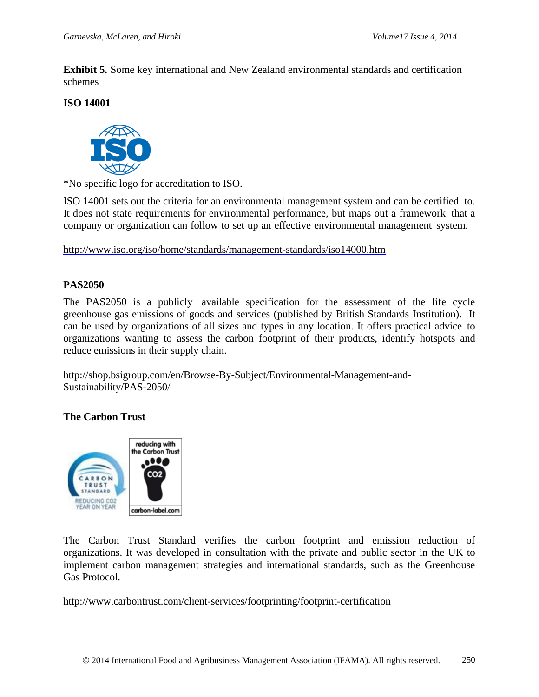**Exhibit 5.** Some key international and New Zealand environmental standards and certification schemes

### **ISO 14001**



\*No specific logo for accreditation to ISO.

ISO 14001 sets out the criteria for an environmental management system and can be certified to. It does not state requirements for environmental performance, but maps out a framework that a company or organization can follow to set up an effective environmental management system.

<http://www.iso.org/iso/home/standards/management-standards/iso14000.htm>

## **PAS2050**

The PAS2050 is a publicly available specification for the assessment of the life cycle greenhouse gas emissions of goods and services (published by British Standards Institution). It can be used by organizations of all sizes and types in any location. It offers practical advice to organizations wanting to assess the carbon footprint of their products, identify hotspots and reduce emissions in their supply chain.

[http://shop.bsigroup.com/en/Browse-By-Subject/Environmental-Management-and-](http://shop.bsigroup.com/en/Browse-By-Subject/Environmental-Management-and-Sustainability/PAS-2050/)[Sustainability/PAS-2050/](http://shop.bsigroup.com/en/Browse-By-Subject/Environmental-Management-and-Sustainability/PAS-2050/)

## **The Carbon Trust**



The Carbon Trust Standard verifies the carbon footprint and emission reduction of organizations. It was developed in consultation with the private and public sector in the UK to implement carbon management strategies and international standards, such as the Greenhouse Gas Protocol.

<http://www.carbontrust.com/client-services/footprinting/footprint-certification>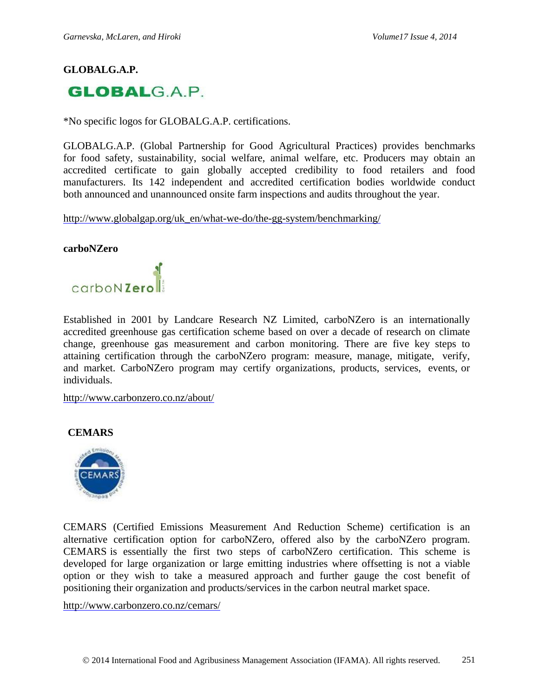## **GLOBALG.A.P.**



\*No specific logos for GLOBALG.A.P. certifications.

GLOBALG.A.P. (Global Partnership for Good Agricultural Practices) provides benchmarks for food safety, sustainability, social welfare, animal welfare, etc. Producers may obtain an accredited certificate to gain globally accepted credibility to food retailers and food manufacturers. Its 142 independent and accredited certification bodies worldwide conduct both announced and unannounced onsite farm inspections and audits throughout the year.

[http://www.globalgap.org/uk\\_en/what-we-do/the-gg-system/benchmarking/](http://www.globalgap.org/uk_en/what-we-do/the-gg-system/benchmarking/)

#### **carboNZero**



Established in 2001 by Landcare Research NZ Limited, carboNZero is an internationally accredited greenhouse gas certification scheme based on over a decade of research on climate change, greenhouse gas measurement and carbon monitoring. There are five key steps to attaining certification through the carboNZero program: measure, manage, mitigate, verify, and market. CarboNZero program may certify organizations, products, services, events, or individuals.

<http://www.carbonzero.co.nz/about/>

#### **CEMARS**



CEMARS (Certified Emissions Measurement And Reduction Scheme) certification is an alternative certification option for carboNZero, offered also by the carboNZero program. CEMARS is essentially the first two steps of carboNZero certification. This scheme is developed for large organization or large emitting industries where offsetting is not a viable option or they wish to take a measured approach and further gauge the cost benefit of positioning their organization and products/services in the carbon neutral market space.

<http://www.carbonzero.co.nz/cemars/>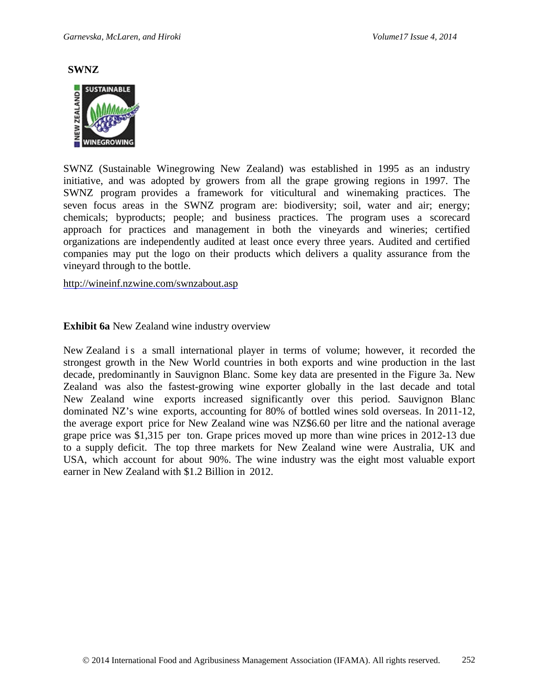**SWNZ**



SWNZ (Sustainable Winegrowing New Zealand) was established in 1995 as an industry initiative, and was adopted by growers from all the grape growing regions in 1997. The SWNZ program provides a framework for viticultural and winemaking practices. The seven focus areas in the SWNZ program are: biodiversity; soil, water and air; energy; chemicals; byproducts; people; and business practices. The program uses a scorecard approach for practices and management in both the vineyards and wineries; certified organizations are independently audited at least once every three years. Audited and certified companies may put the logo on their products which delivers a quality assurance from the vineyard through to the bottle.

<http://wineinf.nzwine.com/swnzabout.asp>

#### **Exhibit 6a** New Zealand wine industry overview

New Zealand is a small international player in terms of volume; however, it recorded the strongest growth in the New World countries in both exports and wine production in the last decade, predominantly in Sauvignon Blanc. Some key data are presented in the Figure 3a. New Zealand was also the fastest-growing wine exporter globally in the last decade and total New Zealand wine exports increased significantly over this period. Sauvignon Blanc dominated NZ's wine exports, accounting for 80% of bottled wines sold overseas. In 2011-12, the average export price for New Zealand wine was NZ\$6.60 per litre and the national average grape price was \$1,315 per ton. Grape prices moved up more than wine prices in 2012-13 due to a supply deficit. The top three markets for New Zealand wine were Australia, UK and USA, which account for about 90%. The wine industry was the eight most valuable export earner in New Zealand with \$1.2 Billion in 2012.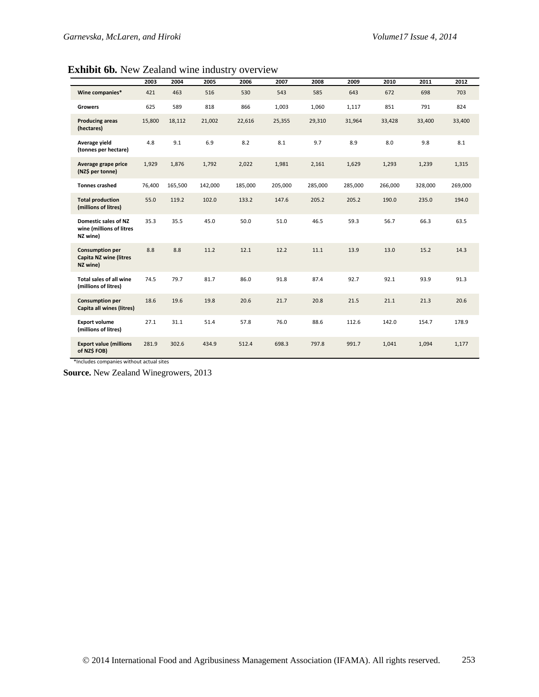**Exhibit 6b***.* New Zealand wine industry overview

|                                                                     | 2003   | 2004    | 2005    | 2006    | 2007    | 2008    | 2009    | 2010    | 2011    | 2012    |
|---------------------------------------------------------------------|--------|---------|---------|---------|---------|---------|---------|---------|---------|---------|
| Wine companies*                                                     | 421    | 463     | 516     | 530     | 543     | 585     | 643     | 672     | 698     | 703     |
| <b>Growers</b>                                                      | 625    | 589     | 818     | 866     | 1,003   | 1,060   | 1,117   | 851     | 791     | 824     |
| <b>Producing areas</b><br>(hectares)                                | 15,800 | 18,112  | 21,002  | 22,616  | 25,355  | 29,310  | 31,964  | 33,428  | 33,400  | 33,400  |
| Average yield<br>(tonnes per hectare)                               | 4.8    | 9.1     | 6.9     | 8.2     | 8.1     | 9.7     | 8.9     | 8.0     | 9.8     | 8.1     |
| Average grape price<br>(NZ\$ per tonne)                             | 1,929  | 1,876   | 1,792   | 2,022   | 1,981   | 2,161   | 1,629   | 1,293   | 1,239   | 1,315   |
| <b>Tonnes crashed</b>                                               | 76,400 | 165,500 | 142,000 | 185.000 | 205,000 | 285.000 | 285,000 | 266.000 | 328,000 | 269,000 |
| <b>Total production</b><br>(millions of litres)                     | 55.0   | 119.2   | 102.0   | 133.2   | 147.6   | 205.2   | 205.2   | 190.0   | 235.0   | 194.0   |
| Domestic sales of NZ<br>wine (millions of litres<br>NZ wine)        | 35.3   | 35.5    | 45.0    | 50.0    | 51.0    | 46.5    | 59.3    | 56.7    | 66.3    | 63.5    |
| <b>Consumption per</b><br><b>Capita NZ wine (litres</b><br>NZ wine) | 8.8    | 8.8     | 11.2    | 12.1    | 12.2    | 11.1    | 13.9    | 13.0    | 15.2    | 14.3    |
| Total sales of all wine<br>(millions of litres)                     | 74.5   | 79.7    | 81.7    | 86.0    | 91.8    | 87.4    | 92.7    | 92.1    | 93.9    | 91.3    |
| <b>Consumption per</b><br>Capita all wines (litres)                 | 18.6   | 19.6    | 19.8    | 20.6    | 21.7    | 20.8    | 21.5    | 21.1    | 21.3    | 20.6    |
| <b>Export volume</b><br>(millions of litres)                        | 27.1   | 31.1    | 51.4    | 57.8    | 76.0    | 88.6    | 112.6   | 142.0   | 154.7   | 178.9   |
| <b>Export value (millions</b><br>of NZ\$ FOB)                       | 281.9  | 302.6   | 434.9   | 512.4   | 698.3   | 797.8   | 991.7   | 1,041   | 1,094   | 1,177   |

\*Includes companies without actual sites

**Source.** New Zealand Winegrowers, 2013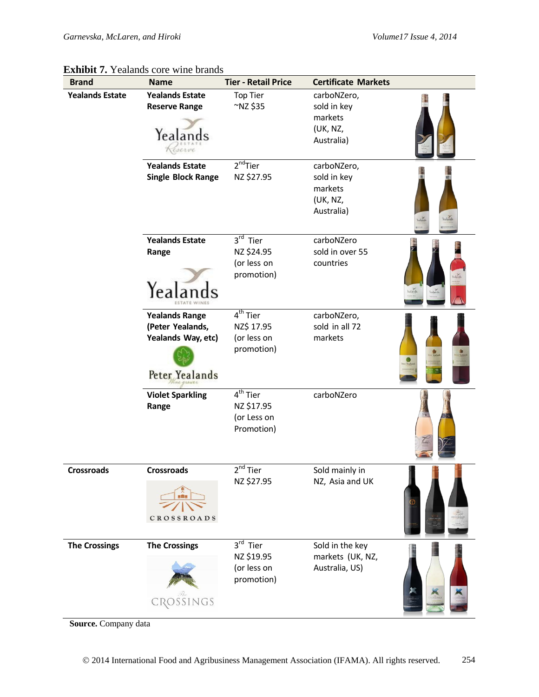| <b>Brand</b>           | <b>Name</b>                                                                       | <b>Tier - Retail Price</b>                                          | <b>Certificate Markets</b>                                      |          |
|------------------------|-----------------------------------------------------------------------------------|---------------------------------------------------------------------|-----------------------------------------------------------------|----------|
| <b>Yealands Estate</b> | <b>Yealands Estate</b><br><b>Reserve Range</b><br>Yealands<br>serve               | <b>Top Tier</b><br>~NZ\$35                                          | carboNZero,<br>sold in key<br>markets<br>(UK, NZ,<br>Australia) |          |
|                        | <b>Yealands Estate</b><br><b>Single Block Range</b>                               | $2nd$ Tier<br>NZ \$27.95                                            | carboNZero,<br>sold in key<br>markets<br>(UK, NZ,<br>Australia) |          |
|                        | <b>Yealands Estate</b><br>Range<br>Yea                                            | 3rd Tier<br>NZ \$24.95<br>(or less on<br>promotion)                 | carboNZero<br>sold in over 55<br>countries                      | Yealands |
|                        | <b>Yealands Range</b><br>(Peter Yealands,<br>Yealands Way, etc)<br>Peter Yealands | 4 <sup>th</sup> Tier<br>NZ\$ 17.95<br>(or less on<br>promotion)     | carboNZero,<br>sold in all 72<br>markets                        |          |
|                        | <b>Violet Sparkling</b><br>Range                                                  | 4 <sup>th</sup> Tier<br>NZ \$17.95<br>(or Less on<br>Promotion)     | carboNZero                                                      |          |
| <b>Crossroads</b>      | <b>Crossroads</b><br><b>CROSSROADS</b>                                            | 2 <sup>nd</sup> Tier<br>NZ \$27.95                                  | Sold mainly in<br>NZ, Asia and UK                               |          |
| <b>The Crossings</b>   | <b>The Crossings</b><br>CROSSINGS                                                 | $3^{\overline{rd}}$ Tier<br>NZ \$19.95<br>(or less on<br>promotion) | Sold in the key<br>markets (UK, NZ,<br>Australia, US)           |          |

## **Exhibit 7.** Yealands core wine brands

**Source.** Company data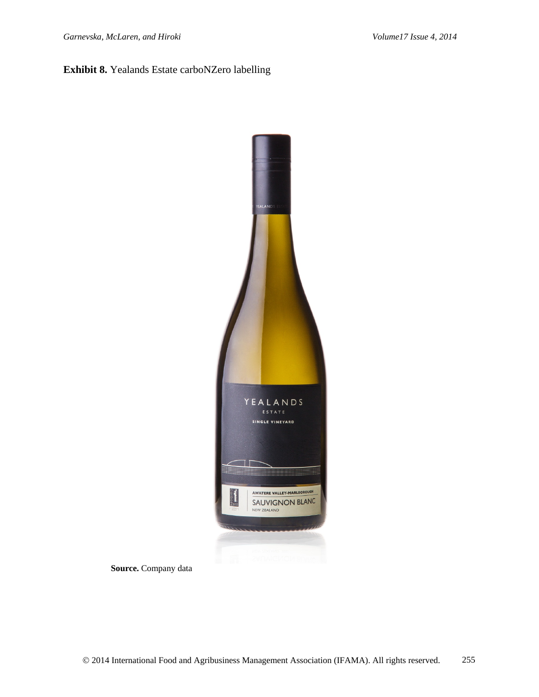## **Exhibit 8.** Yealands Estate carboNZero labelling



**Source.** Company data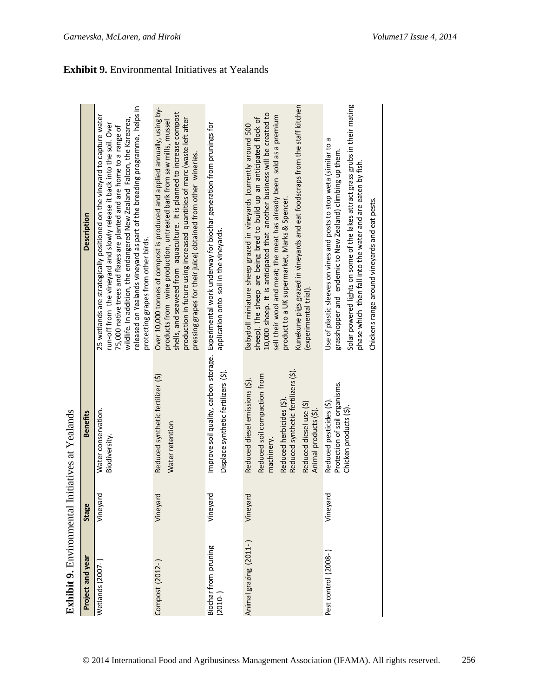| Use of plastic sleeves on vines and posts to stop weta (similar to a<br>grasshopper and endemic to New Zealand) climbing up them.<br>pressing grapes for their juice) obtained from other wineries.<br>phase which then fall into the water and are eaten by fish.<br>product to a UK supermarket, Marks & Spencer.<br>Chickens range around vineyards and eat pests.<br>application onto soil in the vineyards.<br>protecting grapes from other birds.<br>(experimental trial).<br>Improve soil quality, carbon storage.<br>Reduced synthetic fertilizers (\$)<br>Displace synthetic fertilizers (\$).<br>Reduced soil compaction from<br>Reduced synthetic fertilizer (\$)<br>Reduced diesel emissions (\$).<br>Protection of soil organisms.<br>Reduced herbicides (\$).<br>Reduced pesticides (\$)<br>Reduced diesel use (\$)<br>Chicken products (\$).<br>Animal products (\$).<br>Water conservation<br>Water retention<br>Biodiversity<br>machinery.<br>Vineyard<br>Vineyard<br>Vineyard<br>Vineyard<br>Vineyard<br>Animal grazing (2011-)<br>Biochar from pruning<br>Pest control (2008-)<br>Wetlands (2007-<br>Compost (2012-<br>$(2010 - )$ | Project and year | Stage | Benefits | Description                                                                                                                                                                                                                                                                                                                                                                            |
|-------------------------------------------------------------------------------------------------------------------------------------------------------------------------------------------------------------------------------------------------------------------------------------------------------------------------------------------------------------------------------------------------------------------------------------------------------------------------------------------------------------------------------------------------------------------------------------------------------------------------------------------------------------------------------------------------------------------------------------------------------------------------------------------------------------------------------------------------------------------------------------------------------------------------------------------------------------------------------------------------------------------------------------------------------------------------------------------------------------------------------------------------------|------------------|-------|----------|----------------------------------------------------------------------------------------------------------------------------------------------------------------------------------------------------------------------------------------------------------------------------------------------------------------------------------------------------------------------------------------|
|                                                                                                                                                                                                                                                                                                                                                                                                                                                                                                                                                                                                                                                                                                                                                                                                                                                                                                                                                                                                                                                                                                                                                       |                  |       |          | released on Yealands vineyard as part of the breeding programme, helps in<br>25 wetlands are strategically positioned on the vineyard to capture water<br>wildlife. In addition, the endangered New Zealand Falcon, the Karearea,<br>run-off from the vineyard and slowly release it back into the soil. Over<br>75,000 native trees and flaxes are planted and are home to a range of |
|                                                                                                                                                                                                                                                                                                                                                                                                                                                                                                                                                                                                                                                                                                                                                                                                                                                                                                                                                                                                                                                                                                                                                       |                  |       |          | Over 10,000 tonnes of compost is produced and applied annually, using by-<br>shells, and seaweed from aquaculture. It is planned to increase compost<br>production in future using increased quantities of marc (waste left after<br>products from wine production, untreated bark from saw mills, mussel                                                                              |
|                                                                                                                                                                                                                                                                                                                                                                                                                                                                                                                                                                                                                                                                                                                                                                                                                                                                                                                                                                                                                                                                                                                                                       |                  |       |          | Experimental work underway for biochar generation from prunings for                                                                                                                                                                                                                                                                                                                    |
|                                                                                                                                                                                                                                                                                                                                                                                                                                                                                                                                                                                                                                                                                                                                                                                                                                                                                                                                                                                                                                                                                                                                                       |                  |       |          | Kunekune pigs grazed in vineyards and eat foodscraps from the staff kitchen<br>10,000 sheep. It is anticipated that another business will be created to<br>sell their wool and meat; the meat has already been sold as a premium<br>sheep). The sheep are being bred to build up an anticipated flock of<br>Babydoll miniature sheep grazed in vineyards (currently around 500         |
|                                                                                                                                                                                                                                                                                                                                                                                                                                                                                                                                                                                                                                                                                                                                                                                                                                                                                                                                                                                                                                                                                                                                                       |                  |       |          | Solar powered lights on some of the lakes attract grass grubs in their mating                                                                                                                                                                                                                                                                                                          |

**Exhibit 9.** Environmental Initiatives at Yealands é  $\overline{V}$ f, ۱Ť. Ë  $\epsilon$  $\ddot{a}$  $\ddot{a}$ ń

**Exhibit 9.** Environmental Initiatives at Yealands